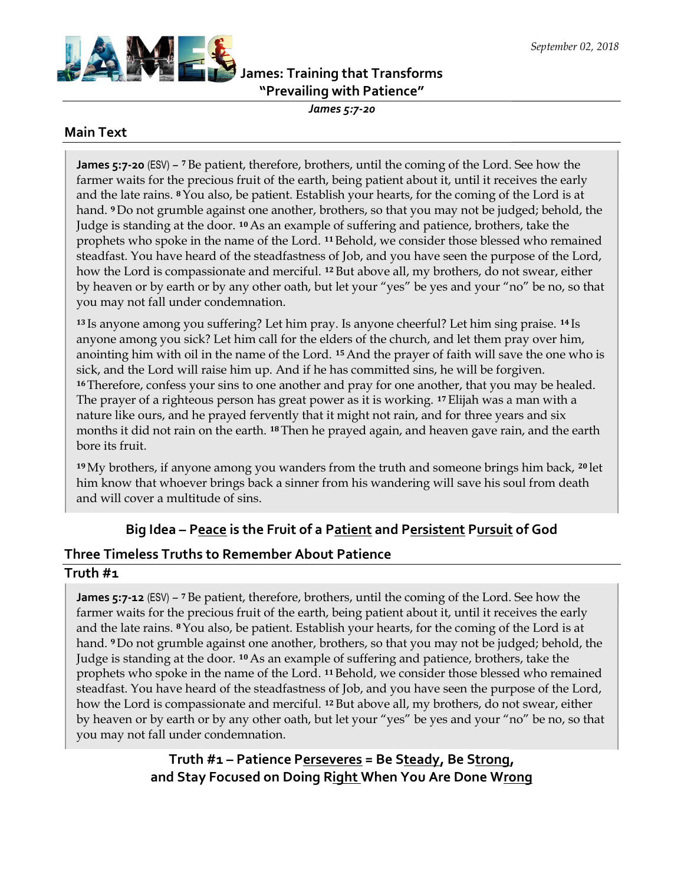

# James: Training that Transforms Transforms"Prevailing with Patience"

James 5:7-20

#### Main Text

**James 5:7-20** (ESV)  $-$  <sup>7</sup> Be patient, therefore, brothers, until the coming of the Lord. See how the farmer waits for the precious fruit of the earth, being patient about it, until it receives the early farmer waits for the precious fruit of the earth, being patient about it, until it receives the early<br>and the late rains. 8 You also, be patient. Establish your hearts, for the coming of the Lord is at hand. 9 Do not grumble against one another, brothers, so that you may not be judged; behold, the hand. <sup>9</sup> Do not grumble against one another, brothers, so that you may not be judged; behol<br>Judge is standing at the door. <sup>10</sup> As an example of suffering and patience, brothers, take the prophets who spoke in the name of the Lord. <sup>11</sup> Behold, we consider those blessed who remained steadfast. You have heard of the steadfastness of Job, and you have seen the purpose of the Lord, how the Lord is compassionate and merciful. <sup>12</sup> But above all, my brothers, do not swear, either by heaven or by earth or by any other oath, but let your "yes" be yes and your "no" be no, so that you may not fall under condemnation.

<sup>13</sup>Is anyone among you suffering? Let him pray. Is anyone cheerful? Let him sing praise. anyone among you sick? Let him call for the elders of the church, and let them pray over him, anointing him with oil in the name of the Lord. <sup>15</sup> And the prayer of faith will save the one who is sick, and the Lord will raise him up. And if he has committed sins, he will be forgiven. <sup>16</sup>Therefore, confess your sins to one another and pray for one another, that you may be healed. The prayer of a righteous person has great power as it is working. <sup>17</sup> Elijah was a man with a nature like ours, and he prayed fervently that it might not rain, and for three years and six months it did not rain on the earth. 18 Then he prayed again, and heaven gave rain, and the earth bore its fruit. by heaven or by earth or by any other oath, but let your "yes" be yes and your "no" be no, so th<br>you may not fall under condemnation.<br><sup>13</sup> Is anyone among you suffering? Let him pray. Is anyone cheerful? Let him sing prais sick, and the Lord will raise him up. And if he has committed sins, he will be forgiven.<br><sup>16</sup> Therefore, confess your sins to one another and pray for one another, that you may be heal<br>The prayer of a righteous person has <sup>14</sup>Is for the elders of the church, and let them pray over him,<br>the Lord. <sup>15</sup> And the prayer of faith will save the one who is<br>And if he has committed sins, he will be forgiven.<br>another and pray for one another, that you may be

<sup>19</sup>My brothers, if anyone among you wanders from the truth and someone brings him back, <sup>20</sup>let him know that whoever brings back a sinner from his wandering will save his soul from death and will cover a multitude of sins. <sup>19</sup>My brothers, if anyone among you wanders from the truth and someone brings him back, <sup>20</sup> lim know that whoever brings back a sinner from his wandering will save his soul from death and will cover a multitude of sins.

# Big Idea – P<u>eace</u> is the Fruit of a P<u>atient</u> and P<u>ersistent</u> P<u>ursuit</u> of God

#### Three Timeless Truths to Remember About Patience About Patience

#### Truth #1

James 5:7-12 (ESV) – 7 Be patient, therefore, brothers, until the coming of the Lord. See how the farmer waits for the precious fruit of the earth, being patient about it, until it receives the early and the late rains. <sup>8</sup> You also, be patient. Establish your hearts, for the coming of the Lord is at and the late rains. <sup>8</sup> You also, be patient. Establish your hearts, for the coming of the Lord is hand. <sup>9</sup> Do not grumble against one another, brothers, so that you may not be judged; behold, the<br>Judge is standing at the door. <sup>10</sup> As an example of suffering and patience, brothers, take the Judge is standing at the door. 10 As an example of suffering and patience, brothers, take the prophets who spoke in the name of the Lord. <sup>11</sup> Behold, we consider those blessed who remained steadfast. You have heard of the steadfastness of Job, and you have seen the purpose of the Lord, how the Lord is compassionate and merciful. <sup>12</sup> But above all, my brothers, do not swear, either by heaven or by earth or by any other oath, but let your "yes" be yes and your "no" be no, so that<br>you may not fall under condemnation. you may not fall under condemnation.

> Truth #1 – Patience P<u>erseveres</u> = Be S<u>teady</u>, Be S<u>trong</u>, Truth #1 – Patience P<u>erseveres</u> = Be S<u>teady</u>, Be S<u>trong,</u><br>and Stay Focused on Doing R<u>ight </u>When You Are Done W<u>rong</u>